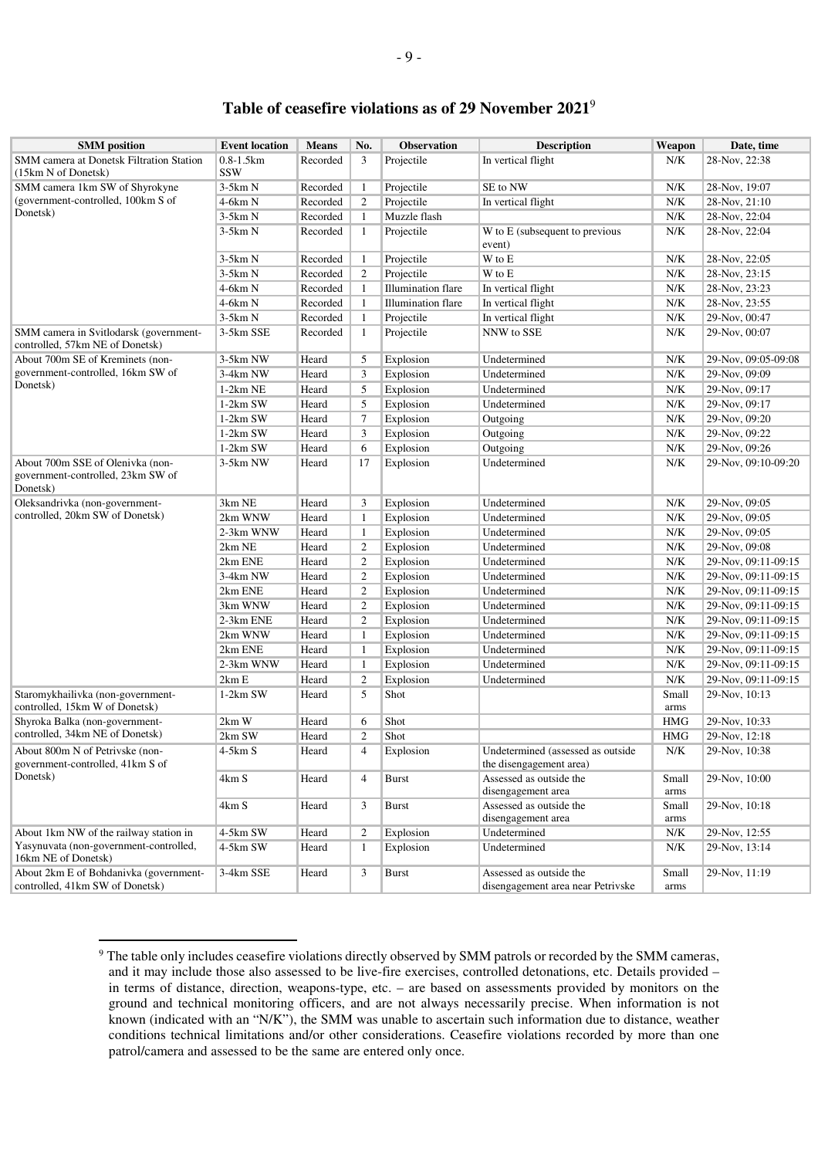| <b>SMM</b> position                                                               | <b>Event location</b>        | <b>Means</b> | No.            | <b>Observation</b> | <b>Description</b>                                           | Weapon                                                      | Date, time          |
|-----------------------------------------------------------------------------------|------------------------------|--------------|----------------|--------------------|--------------------------------------------------------------|-------------------------------------------------------------|---------------------|
| SMM camera at Donetsk Filtration Station<br>(15km N of Donetsk)                   | $0.8 - 1.5$ km<br><b>SSW</b> | Recorded     | 3              | Projectile         | In vertical flight                                           | N/K                                                         | 28-Nov, 22:38       |
| SMM camera 1km SW of Shyrokyne<br>(government-controlled, 100km S of<br>Donetsk)  | $3-5km N$                    | Recorded     | 1              | Projectile         | SE to NW                                                     | N/K                                                         | 28-Nov, 19:07       |
|                                                                                   | $4-6km N$                    | Recorded     | $\overline{c}$ | Projectile         | In vertical flight                                           | N/K                                                         | 28-Nov, 21:10       |
|                                                                                   | $3-5km N$                    | Recorded     |                | Muzzle flash       |                                                              | N/K                                                         | 28-Nov, 22:04       |
|                                                                                   | $3-5km N$                    | Recorded     | 1              | Projectile         | W to E (subsequent to previous<br>event)                     | N/K                                                         | 28-Nov, 22:04       |
|                                                                                   | $3-5km N$                    | Recorded     | 1              | Projectile         | W to E                                                       | N/K                                                         | 28-Nov, 22:05       |
|                                                                                   | $3-5km N$                    | Recorded     | $\mathfrak{2}$ | Projectile         | W to E                                                       | N/K                                                         | 28-Nov, 23:15       |
|                                                                                   | $4-6km N$                    | Recorded     | 1              | Illumination flare | In vertical flight                                           | N/K                                                         | 28-Nov, 23:23       |
|                                                                                   | $4-6km N$                    | Recorded     | 1              | Illumination flare | In vertical flight                                           | N/K                                                         | 28-Nov, 23:55       |
|                                                                                   | $3-5km N$                    | Recorded     | 1              | Projectile         | In vertical flight                                           | ${\rm N/K}$                                                 | 29-Nov, 00:47       |
| SMM camera in Svitlodarsk (government-<br>controlled, 57km NE of Donetsk)         | 3-5km SSE                    | Recorded     | 1              | Projectile         | NNW to SSE                                                   | N/K                                                         | 29-Nov, 00:07       |
| About 700m SE of Kreminets (non-<br>government-controlled, 16km SW of             | 3-5km NW                     | Heard        | 5              | Explosion          | Undetermined                                                 | N/K                                                         | 29-Nov, 09:05-09:08 |
|                                                                                   | 3-4km NW                     | Heard        | 3              | Explosion          | Undetermined                                                 | ${\rm N/K}$                                                 | 29-Nov, 09:09       |
| Donetsk)                                                                          | $1-2km$ NE                   | Heard        | 5              | Explosion          | Undetermined                                                 | N/K                                                         | 29-Nov, 09:17       |
|                                                                                   | 1-2km SW                     | Heard        | 5              | Explosion          | Undetermined                                                 | N/K                                                         | 29-Nov, 09:17       |
|                                                                                   | 1-2km SW                     | Heard        | $\tau$         | Explosion          | Outgoing                                                     | N/K                                                         | 29-Nov, 09:20       |
|                                                                                   | 1-2km SW                     | Heard        | 3              | Explosion          | Outgoing                                                     | ${\rm N/K}$                                                 | 29-Nov, 09:22       |
|                                                                                   | 1-2km SW                     | Heard        | 6              | Explosion          | Outgoing                                                     | ${\rm N/K}$                                                 | 29-Nov, 09:26       |
| About 700m SSE of Olenivka (non-<br>government-controlled, 23km SW of<br>Donetsk) | 3-5km NW                     | Heard        | 17             | Explosion          | Undetermined                                                 | N/K                                                         | 29-Nov, 09:10-09:20 |
| Oleksandrivka (non-government-<br>controlled, 20km SW of Donetsk)                 | 3km NE                       | Heard        | 3              | Explosion          | Undetermined                                                 | N/K                                                         | 29-Nov, 09:05       |
|                                                                                   | 2km WNW                      | Heard        | 1              | Explosion          | Undetermined                                                 | N/K                                                         | 29-Nov, 09:05       |
|                                                                                   | 2-3km WNW                    | Heard        | 1              | Explosion          | Undetermined                                                 | ${\rm N/K}$                                                 | 29-Nov, 09:05       |
|                                                                                   | 2km NE                       | Heard        | 2              | Explosion          | Undetermined                                                 | N/K                                                         | 29-Nov, 09:08       |
|                                                                                   | 2km ENE                      | Heard        | 2              | Explosion          | Undetermined                                                 | N/K                                                         | 29-Nov, 09:11-09:15 |
|                                                                                   | 3-4km NW                     | Heard        | 2              | Explosion          | Undetermined                                                 | N/K                                                         | 29-Nov, 09:11-09:15 |
|                                                                                   | 2km ENE                      | Heard        | 2              | Explosion          | Undetermined                                                 | N/K                                                         | 29-Nov, 09:11-09:15 |
|                                                                                   | 3km WNW                      | Heard        | 2              | Explosion          | Undetermined                                                 | ${\rm N/K}$                                                 | 29-Nov, 09:11-09:15 |
|                                                                                   | 2-3km ENE                    | Heard        | $\mathfrak{2}$ | Explosion          | Undetermined                                                 | N/K                                                         | 29-Nov, 09:11-09:15 |
|                                                                                   | 2km WNW                      | Heard        | 1              | Explosion          | Undetermined                                                 | N/K                                                         | 29-Nov, 09:11-09:15 |
|                                                                                   | 2km ENE                      | Heard        | 1              | Explosion          | Undetermined                                                 | N/K                                                         | 29-Nov, 09:11-09:15 |
|                                                                                   | 2-3km WNW                    | Heard        | 1              | Explosion          | Undetermined                                                 | N/K                                                         | 29-Nov, 09:11-09:15 |
|                                                                                   | 2km E                        | Heard        | $\overline{c}$ | Explosion          | Undetermined                                                 | N/K                                                         | 29-Nov, 09:11-09:15 |
| Staromykhailivka (non-government-<br>controlled, 15km W of Donetsk)               | 1-2km SW                     | Heard        | 5              | Shot               |                                                              | Small<br>arms                                               | 29-Nov, 10:13       |
| Shyroka Balka (non-government-<br>controlled, 34km NE of Donetsk)                 | 2km W                        | Heard        | 6              | Shot               |                                                              | <b>HMG</b>                                                  | 29-Nov, 10:33       |
|                                                                                   | 2km SW                       | Heard        | $\overline{c}$ | Shot               |                                                              | HMG                                                         | 29-Nov, 12:18       |
| About 800m N of Petrivske (non-<br>government-controlled, 41km S of<br>Donetsk)   | $4-5kmS$                     | Heard        | $\overline{4}$ | Explosion          | Undetermined (assessed as outside<br>the disengagement area) | $\ensuremath{\text{N}}\xspace/\ensuremath{\text{K}}\xspace$ | 29-Nov, 10:38       |
|                                                                                   | 4km S                        | Heard        | $\overline{4}$ | <b>Burst</b>       | Assessed as outside the<br>disengagement area                | Small<br>arms                                               | 29-Nov, 10:00       |
|                                                                                   | 4km S                        | Heard        | 3              | <b>Burst</b>       | Assessed as outside the<br>disengagement area                | Small<br>arms                                               | 29-Nov, 10:18       |
| About 1km NW of the railway station in                                            | 4-5km SW                     | Heard        | $\overline{c}$ | Explosion          | Undetermined                                                 | ${\rm N/K}$                                                 | 29-Nov, 12:55       |
| Yasynuvata (non-government-controlled,<br>16km NE of Donetsk)                     | 4-5km SW                     | Heard        | -1             | Explosion          | Undetermined                                                 | N/K                                                         | 29-Nov, 13:14       |
| About 2km E of Bohdanivka (government-<br>controlled, 41km SW of Donetsk)         | 3-4km SSE                    | Heard        | 3              | Burst              | Assessed as outside the<br>disengagement area near Petrivske | Small<br>arms                                               | 29-Nov, 11:19       |

<sup>&</sup>lt;sup>9</sup> The table only includes ceasefire violations directly observed by SMM patrols or recorded by the SMM cameras, and it may include those also assessed to be live-fire exercises, controlled detonations, etc. Details provided – in terms of distance, direction, weapons-type, etc. – are based on assessments provided by monitors on the ground and technical monitoring officers, and are not always necessarily precise. When information is not known (indicated with an "N/K"), the SMM was unable to ascertain such information due to distance, weather conditions technical limitations and/or other considerations. Ceasefire violations recorded by more than one patrol/camera and assessed to be the same are entered only once.

 $\overline{a}$